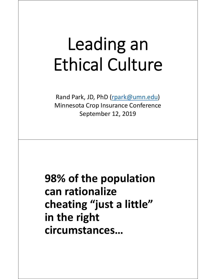## Leading an Ethical Culture

Rand Park, JD, PhD (rpark@umn.edu) Minnesota Crop Insurance Conference September 12, 2019

**98% of the population can rationalize cheating "just a little" in the right circumstances…**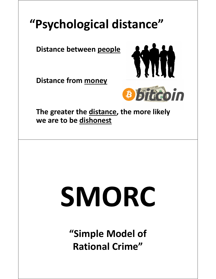## **"Psychological distance"**

**Distance between people**

**Distance from money**





**The greater the distance, the more likely we are to be dishonest**

# SMORC

**"Simple Model of Rational Crime"**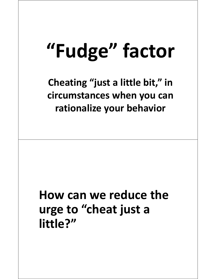## **"Fudge" factor**

**Cheating "just a little bit," in circumstances when you can rationalize your behavior**

## **How can we reduce the urge to "cheat just a little?"**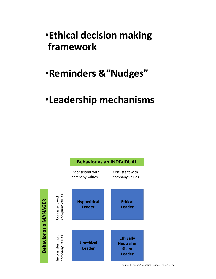#### •**Ethical decision making framework**

#### •**Reminders &"Nudges"**

#### •**Leadership mechanisms**

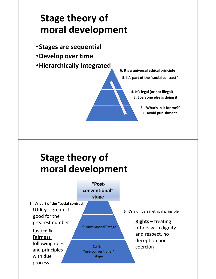#### **Stage theory of moral development**

- •**Stages are sequential**
- •**Develop over time**
- •**Hierarchically integrated**

**5. It's part of the "social contract" 6. It's a universal ethical principle**

> **3. Everyone else is doing it 4. It's legal (or not illegal)**

> > **1. Avoid punishment 2. "What's in it for me?"**

#### **Stage theory of moral development**

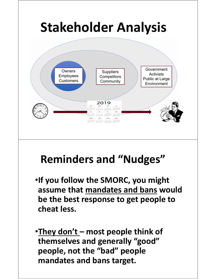

## **Reminders and "Nudges"**

- •**If you follow the SMORC, you might assume that mandates and bans would be the best response to get people to cheat less.**
- •**They don't most people think of themselves and generally "good" people, not the "bad" people mandates and bans target.**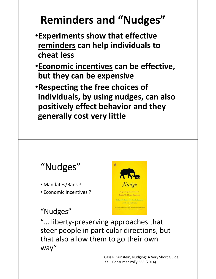## **Reminders and "Nudges"**

- •**Experiments show that effective reminders can help individuals to cheat less**
- •**Economic incentives can be effective, but they can be expensive**
- •**Respecting the free choices of individuals, by using nudges, can also positively effect behavior and they generally cost very little**



- Mandates/Bans ?
- Economic Incentives ?

#### "Nudges"



"… liberty‐preserving approaches that steer people in particular directions, but that also allow them to go their own way"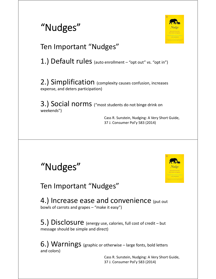



#### Ten Important "Nudges"

1.) Default rules (auto enrollment - "opt out" vs. "opt in")

2.) Simplification (complexity causes confusion, increases expense, and deters participation)

3.) Social norms ("most students do not binge drink on weekends")

> Cass R. Sunstein, Nudging: A Very Short Guide, 37 J. Consumer Pol'y 583 (2014)



Ten Important "Nudges"

4.) Increase ease and convenience (put out bowls of carrots and grapes – "make it easy")

5.) Disclosure (energy use, calories, full cost of credit – but message should be simple and direct)

6.) Warnings (graphic or otherwise – large fonts, bold letters and colors)

> Cass R. Sunstein, Nudging: A Very Short Guide, 37 J. Consumer Pol'y 583 (2014)

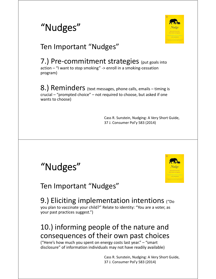



#### Ten Important "Nudges"

7.) Pre-commitment strategies (put goals into action – "I want to stop smoking" ‐> enroll in a smoking‐cessation program)

8.) Reminders (text messages, phone calls, emails – timing is crucial – "prompted choice" – not required to choose, but asked if one wants to choose)

> Cass R. Sunstein, Nudging: A Very Short Guide, 37 J. Consumer Pol'y 583 (2014)



Cass R. Sunstein, Nudging: A Very Short Guide, 37 J. Consumer Pol'y 583 (2014)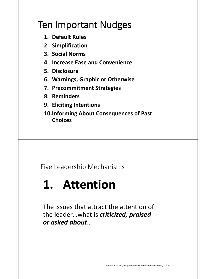#### Ten Important Nudges

- **1. Default Rules**
- **2. Simplification**
- **3. Social Norms**
- **4. Increase Ease and Convenience**
- **5. Disclosure**
- **6. Warnings, Graphic or Otherwise**
- **7. Precommitment Strategies**
- **8. Reminders**
- **9. Eliciting Intentions**
- **10.Informing About Consequences of Past Choices**

Five Leadership Mechanisms

## **1. Attention**

The issues that attract the attention of the leader…what is *criticized, praised or asked about*…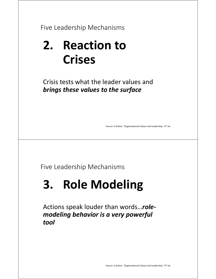Five Leadership Mechanisms

## **2. Reaction to Crises**

Crisis tests what the leader values and *brings these values to the surface*

Source: E.Schein, "Organizational Culture and Leadership," 4th ed.

Five Leadership Mechanisms

## **3. Role Modeling**

Actions speak louder than words…*role‐ modeling behavior is a very powerful tool*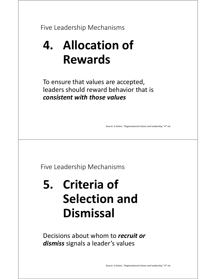Five Leadership Mechanisms

## **4. Allocation of Rewards**

To ensure that values are accepted, leaders should reward behavior that is *consistent with those values*

Source: E.Schein, "Organizational Culture and Leadership," 4th ed.

Five Leadership Mechanisms

## **5. Criteria of Selection and Dismissal**

Decisions about whom to *recruit or dismiss* signals a leader's values